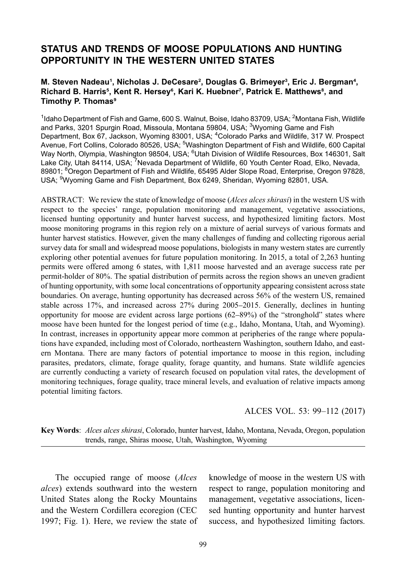# STATUS AND TRENDS OF MOOSE POPULATIONS AND HUNTING OPPORTUNITY IN THE WESTERN UNITED STATES

### M. Steven Nadeau<sup>1</sup>, Nicholas J. DeCesare<sup>2</sup>, Douglas G. Brimeyer<sup>3</sup>, Eric J. Bergman<sup>4</sup>, Richard B. Harris<sup>s</sup>, Kent R. Hersey<sup>s</sup>, Kari K. Huebner<sup>7</sup>, Patrick E. Matthews<sup>s</sup>, and Timothy P. Thomas<sup>9</sup>

<sup>1</sup>Idaho Department of Fish and Game, 600 S. Walnut, Boise, Idaho 83709, USA; <sup>2</sup>Montana Fish, Wildlife and Parks, 3201 Spurgin Road, Missoula, Montana 59804, USA; <sup>3</sup>Wyoming Game and Fish Department, Box 67, Jackson, Wyoming 83001, USA; <sup>4</sup>Colorado Parks and Wildlife, 317 W. Prospect Avenue, Fort Collins, Colorado 80526, USA; <sup>5</sup>Washington Department of Fish and Wildlife, 600 Capital Way North, Olympia, Washington 98504, USA; <sup>6</sup>Utah Division of Wildlife Resources, Box 146301, Salt Lake City, Utah 84114, USA; <sup>7</sup>Nevada Department of Wildlife, 60 Youth Center Road, Elko, Nevada, 89801; <sup>8</sup>Oregon Department of Fish and Wildlife, 65495 Alder Slope Road, Enterprise, Oregon 97828, USA; <sup>9</sup>Wyoming Game and Fish Department, Box 6249, Sheridan, Wyoming 82801, USA.

ABSTRACT: We review the state of knowledge of moose (*Alces alces shirasi*) in the western US with respect to the species' range, population monitoring and management, vegetative associations, licensed hunting opportunity and hunter harvest success, and hypothesized limiting factors. Most moose monitoring programs in this region rely on a mixture of aerial surveys of various formats and hunter harvest statistics. However, given the many challenges of funding and collecting rigorous aerial survey data for small and widespread moose populations, biologists in many western states are currently exploring other potential avenues for future population monitoring. In 2015, a total of 2,263 hunting permits were offered among 6 states, with 1,811 moose harvested and an average success rate per permit-holder of 80%. The spatial distribution of permits across the region shows an uneven gradient of hunting opportunity, with some local concentrations of opportunity appearing consistent across state boundaries. On average, hunting opportunity has decreased across 56% of the western US, remained stable across 17%, and increased across 27% during 2005–2015. Generally, declines in hunting opportunity for moose are evident across large portions (62–89%) of the "stronghold" states where moose have been hunted for the longest period of time (e.g., Idaho, Montana, Utah, and Wyoming). In contrast, increases in opportunity appear more common at peripheries of the range where populations have expanded, including most of Colorado, northeastern Washington, southern Idaho, and eastern Montana. There are many factors of potential importance to moose in this region, including parasites, predators, climate, forage quality, forage quantity, and humans. State wildlife agencies are currently conducting a variety of research focused on population vital rates, the development of monitoring techniques, forage quality, trace mineral levels, and evaluation of relative impacts among potential limiting factors.

#### ALCES VOL. 53: 99–112 (2017)

Key Words: Alces alces shirasi, Colorado, hunter harvest, Idaho, Montana, Nevada, Oregon, population trends, range, Shiras moose, Utah, Washington, Wyoming

The occupied range of moose (*Alces*) alces) extends southward into the western United States along the Rocky Mountains and the Western Cordillera ecoregion (CEC 1997; [Fig. 1\)](#page-1-0). Here, we review the state of knowledge of moose in the western US with respect to range, population monitoring and management, vegetative associations, licensed hunting opportunity and hunter harvest success, and hypothesized limiting factors.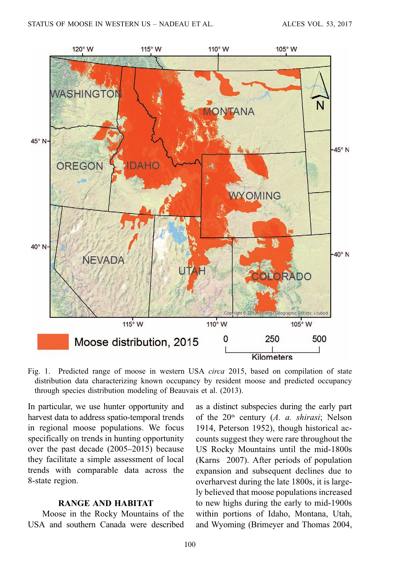<span id="page-1-0"></span>

Fig. 1. Predicted range of moose in western USA circa 2015, based on compilation of state distribution data characterizing known occupancy by resident moose and predicted occupancy through species distribution modeling of [Beauvais et al. \(2013\)](#page-10-0).

In particular, we use hunter opportunity and harvest data to address spatio-temporal trends in regional moose populations. We focus specifically on trends in hunting opportunity over the past decade (2005–2015) because they facilitate a simple assessment of local trends with comparable data across the 8-state region.

#### RANGE AND HABITAT

Moose in the Rocky Mountains of the USA and southern Canada were described as a distinct subspecies during the early part of the  $20<sup>th</sup>$  century (A. a. shirasi; [Nelson](#page-12-0) [1914](#page-12-0), [Peterson 1952\)](#page-12-0), though historical accounts suggest they were rare throughout the US Rocky Mountains until the mid-1800s (Karns [2007\)](#page-11-0). After periods of population expansion and subsequent declines due to overharvest during the late 1800s, it is largely believed that moose populations increased to new highs during the early to mid-1900s within portions of Idaho, Montana, Utah, and Wyoming [\(Brimeyer and Thomas 2004,](#page-10-0)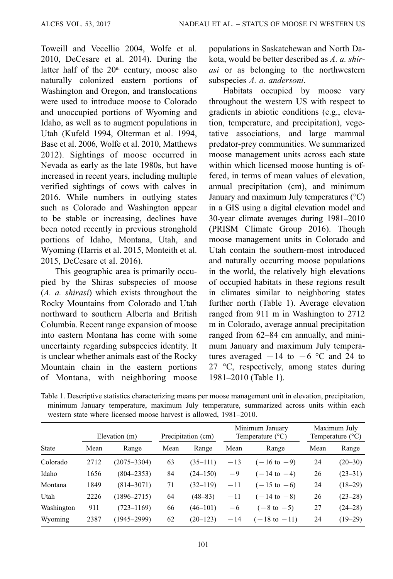<span id="page-2-0"></span>[Toweill and Vecellio 2004](#page-13-0), [Wolfe et al.](#page-13-0) [2010,](#page-13-0) [DeCesare et al. 2014\)](#page-11-0). During the latter half of the 20<sup>th</sup> century, moose also naturally colonized eastern portions of Washington and Oregon, and translocations were used to introduce moose to Colorado and unoccupied portions of Wyoming and Idaho, as well as to augment populations in Utah [\(Kufeld 1994](#page-11-0), [Olterman et al. 1994](#page-12-0), [Base et al. 2006](#page-10-0), [Wolfe et al. 2010](#page-13-0), [Matthews](#page-12-0) [2012\)](#page-12-0). Sightings of moose occurred in Nevada as early as the late 1980s, but have increased in recent years, including multiple verified sightings of cows with calves in 2016. While numbers in outlying states such as Colorado and Washington appear to be stable or increasing, declines have been noted recently in previous stronghold portions of Idaho, Montana, Utah, and Wyoming ([Harris et al. 2015](#page-11-0), [Monteith et al.](#page-12-0) [2015,](#page-12-0) [DeCesare et al. 2016\)](#page-11-0).

This geographic area is primarily occupied by the Shiras subspecies of moose (A. a. shirasi) which exists throughout the Rocky Mountains from Colorado and Utah northward to southern Alberta and British Columbia. Recent range expansion of moose into eastern Montana has come with some uncertainty regarding subspecies identity. It is unclear whether animals east of the Rocky Mountain chain in the eastern portions of Montana, with neighboring moose populations in Saskatchewan and North Dakota, would be better described as A. a. shirasi or as belonging to the northwestern subspecies A. a. andersoni.

Habitats occupied by moose vary throughout the western US with respect to gradients in abiotic conditions (e.g., elevation, temperature, and precipitation), vegetative associations, and large mammal predator-prey communities. We summarized moose management units across each state within which licensed moose hunting is offered, in terms of mean values of elevation, annual precipitation (cm), and minimum January and maximum July temperatures (°C) in a GIS using a digital elevation model and 30-year climate averages during 1981–2010 [\(PRISM Climate Group 2016\)](#page-12-0). Though moose management units in Colorado and Utah contain the southern-most introduced and naturally occurring moose populations in the world, the relatively high elevations of occupied habitats in these regions result in climates similar to neighboring states further north (Table 1). Average elevation ranged from 911 m in Washington to 2712 m in Colorado, average annual precipitation ranged from 62–84 cm annually, and minimum January and maximum July temperatures averaged  $-14$  to  $-6$  °C and 24 to 27 °C, respectively, among states during 1981–2010 (Table 1).

Table 1. Descriptive statistics characterizing means per moose management unit in elevation, precipitation, minimum January temperature, maximum July temperature, summarized across units within each western state where licensed moose harvest is allowed, 1981–2010.

|            |      | Elevation (m)   |      | Precipitation (cm) |       | Minimum January<br>Temperature $(^{\circ}C)$ | Maximum July<br>Temperature $(^{\circ}C)$ |             |
|------------|------|-----------------|------|--------------------|-------|----------------------------------------------|-------------------------------------------|-------------|
| State      | Mean | Range           | Mean | Range              | Mean  | Range                                        | Mean                                      | Range       |
| Colorado   | 2712 | $(2075 - 3304)$ | 63   | $(35-111)$         | $-13$ | $(-16 \text{ to } -9)$                       | 24                                        | $(20-30)$   |
| Idaho      | 1656 | $(804 - 2353)$  | 84   | $(24 - 150)$       | $-9$  | $(-14 \text{ to } -4)$                       | 26                                        | $(23-31)$   |
| Montana    | 1849 | $(814 - 3071)$  | 71   | $(32-119)$         | $-11$ | $(-15 \text{ to } -6)$                       | 24                                        | $(18-29)$   |
| Utah       | 2226 | $(1896 - 2715)$ | 64   | $(48 - 83)$        | $-11$ | $(-14 \text{ to } -8)$                       | 26                                        | $(23-28)$   |
| Washington | 911  | $(723 - 1169)$  | 66   | $(46 - 101)$       | $-6$  | $(-8 \text{ to } -5)$                        | 27                                        | $(24 - 28)$ |
| Wyoming    | 2387 | $(1945 - 2999)$ | 62   | $(20-123)$         | $-14$ | $(-18 \text{ to } -11)$                      | 24                                        | $(19-29)$   |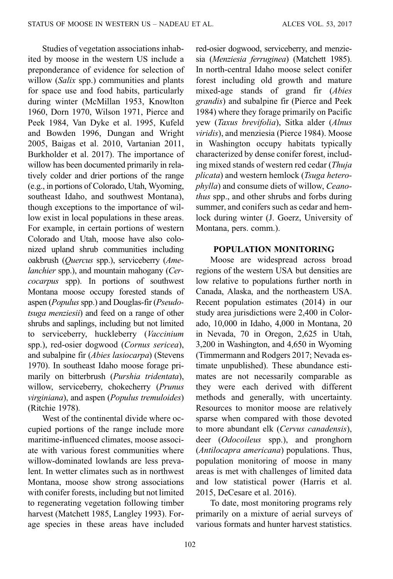Studies of vegetation associations inhabited by moose in the western US include a preponderance of evidence for selection of willow (Salix spp.) communities and plants for space use and food habits, particularly during winter [\(McMillan 1953](#page-12-0), [Knowlton](#page-11-0) [1960, Dorn 1970,](#page-11-0) [Wilson 1971,](#page-13-0) [Pierce and](#page-12-0) [Peek 1984,](#page-12-0) [Van Dyke et al. 1995,](#page-13-0) [Kufeld](#page-11-0) [and Bowden 1996, Dungan and Wright](#page-11-0) [2005,](#page-11-0) [Baigas et al. 2010](#page-10-0), [Vartanian 2011,](#page-13-0) [Burkholder et al. 2017](#page-11-0)). The importance of willow has been documented primarily in relatively colder and drier portions of the range (e.g., in portions of Colorado, Utah, Wyoming, southeast Idaho, and southwest Montana), though exceptions to the importance of willow exist in local populations in these areas. For example, in certain portions of western Colorado and Utah, moose have also colonized upland shrub communities including oakbrush (Quercus spp.), serviceberry (Amelanchier spp.), and mountain mahogany (Cercocarpus spp). In portions of southwest Montana moose occupy forested stands of aspen (Populus spp.) and Douglas-fir (Pseudotsuga menziesii) and feed on a range of other shrubs and saplings, including but not limited to serviceberry, huckleberry (Vaccinium spp.), red-osier dogwood (Cornus sericea), and subalpine fir (Abies lasiocarpa) [\(Stevens](#page-13-0) [1970](#page-13-0)). In southeast Idaho moose forage primarily on bitterbrush (Purshia tridentata), willow, serviceberry, chokecherry (Prunus virginiana), and aspen (Populus tremuloides) [\(Ritchie 1978](#page-12-0)).

West of the continental divide where occupied portions of the range include more maritime-influenced climates, moose associate with various forest communities where willow-dominated lowlands are less prevalent. In wetter climates such as in northwest Montana, moose show strong associations with conifer forests, including but not limited to regenerating vegetation following timber harvest ([Matchett 1985](#page-12-0), [Langley 1993\)](#page-11-0). Forage species in these areas have included red-osier dogwood, serviceberry, and menziesia (Menziesia ferruginea) [\(Matchett 1985](#page-12-0)). In north-central Idaho moose select conifer forest including old growth and mature mixed-age stands of grand fir (Abies grandis) and subalpine fir ([Pierce and Peek](#page-12-0) [1984](#page-12-0)) where they forage primarily on Pacific yew (Taxus brevifolia), Sitka alder (Alnus viridis), and menziesia [\(Pierce 1984\)](#page-12-0). Moose in Washington occupy habitats typically characterized by dense conifer forest, including mixed stands of western red cedar (Thuja plicata) and western hemlock (Tsuga heterophylla) and consume diets of willow, Ceanothus spp., and other shrubs and forbs during summer, and conifers such as cedar and hemlock during winter (J. Goerz, University of Montana, pers. comm.).

# POPULATION MONITORING

Moose are widespread across broad regions of the western USA but densities are low relative to populations further north in Canada, Alaska, and the northeastern USA. Recent population estimates (2014) in our study area jurisdictions were 2,400 in Colorado, 10,000 in Idaho, 4,000 in Montana, 20 in Nevada, 70 in Oregon, 2,625 in Utah, 3,200 in Washington, and 4,650 in Wyoming [\(Timmermann and Rodgers 2017](#page-13-0); Nevada estimate unpublished). These abundance estimates are not necessarily comparable as they were each derived with different methods and generally, with uncertainty. Resources to monitor moose are relatively sparse when compared with those devoted to more abundant elk (Cervus canadensis), deer (Odocoileus spp.), and pronghorn (Antilocapra americana) populations. Thus, population monitoring of moose in many areas is met with challenges of limited data and low statistical power ([Harris et al.](#page-11-0) [2015](#page-11-0), [DeCesare et al. 2016\)](#page-11-0).

To date, most monitoring programs rely primarily on a mixture of aerial surveys of various formats and hunter harvest statistics.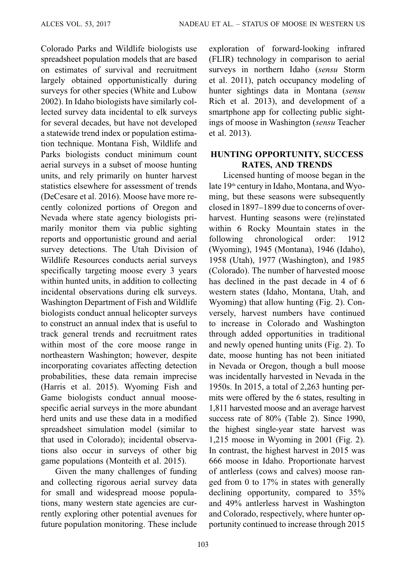Colorado Parks and Wildlife biologists use spreadsheet population models that are based on estimates of survival and recruitment largely obtained opportunistically during surveys for other species ([White and Lubow](#page-13-0) [2002\)](#page-13-0). In Idaho biologists have similarly collected survey data incidental to elk surveys for several decades, but have not developed a statewide trend index or population estimation technique. Montana Fish, Wildlife and Parks biologists conduct minimum count aerial surveys in a subset of moose hunting units, and rely primarily on hunter harvest statistics elsewhere for assessment of trends ([DeCesare et al. 2016\)](#page-11-0). Moose have more recently colonized portions of Oregon and Nevada where state agency biologists primarily monitor them via public sighting reports and opportunistic ground and aerial survey detections. The Utah Division of Wildlife Resources conducts aerial surveys specifically targeting moose every 3 years within hunted units, in addition to collecting incidental observations during elk surveys. Washington Department of Fish and Wildlife biologists conduct annual helicopter surveys to construct an annual index that is useful to track general trends and recruitment rates within most of the core moose range in northeastern Washington; however, despite incorporating covariates affecting detection probabilities, these data remain imprecise ([Harris et al. 2015](#page-11-0)). Wyoming Fish and Game biologists conduct annual moosespecific aerial surveys in the more abundant herd units and use these data in a modified spreadsheet simulation model (similar to that used in Colorado); incidental observations also occur in surveys of other big game populations [\(Monteith et al. 2015\)](#page-12-0).

Given the many challenges of funding and collecting rigorous aerial survey data for small and widespread moose populations, many western state agencies are currently exploring other potential avenues for future population monitoring. These include exploration of forward-looking infrared (FLIR) technology in comparison to aerial surveys in northern Idaho (sensu [Storm](#page-13-0) [et al. 2011\)](#page-13-0), patch occupancy modeling of hunter sightings data in Montana (sensu [Rich et al. 2013](#page-12-0)), and development of a smartphone app for collecting public sightings of moose in Washington (sensu [Teacher](#page-13-0) [et al. 2013\)](#page-13-0).

# HUNTING OPPORTUNITY, SUCCESS RATES, AND TRENDS

Licensed hunting of moose began in the late 19<sup>th</sup> century in Idaho, Montana, and Wyoming, but these seasons were subsequently closed in 1897–1899 due to concerns of overharvest. Hunting seasons were (re)instated within 6 Rocky Mountain states in the following chronological order: 1912 (Wyoming), 1945 (Montana), 1946 (Idaho), 1958 (Utah), 1977 (Washington), and 1985 (Colorado). The number of harvested moose has declined in the past decade in 4 of 6 western states (Idaho, Montana, Utah, and Wyoming) that allow hunting [\(Fig. 2](#page-5-0)). Conversely, harvest numbers have continued to increase in Colorado and Washington through added opportunities in traditional and newly opened hunting units ([Fig. 2\)](#page-5-0). To date, moose hunting has not been initiated in Nevada or Oregon, though a bull moose was incidentally harvested in Nevada in the 1950s. In 2015, a total of 2,263 hunting permits were offered by the 6 states, resulting in 1,811 harvested moose and an average harvest success rate of 80% [\(Table 2\)](#page-6-0). Since 1990, the highest single-year state harvest was 1,215 moose in Wyoming in 2001 ([Fig. 2](#page-5-0)). In contrast, the highest harvest in 2015 was 666 moose in Idaho. Proportionate harvest of antlerless (cows and calves) moose ran‐ ged from 0 to 17% in states with generally declining opportunity, compared to  $35\%$ and 49% antlerless harvest in Washington and Colorado, respectively, where hunter opportunity continued to increase through 2015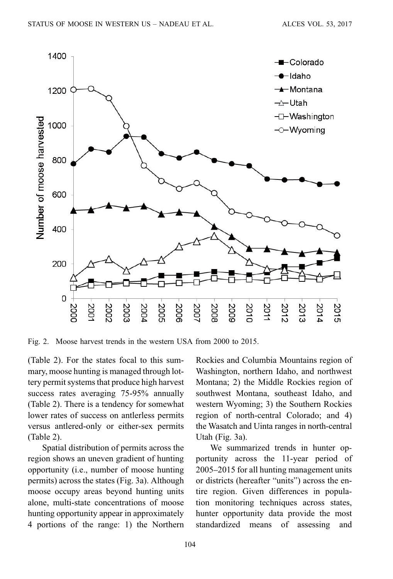<span id="page-5-0"></span>

Fig. 2. Moose harvest trends in the western USA from 2000 to 2015.

[\(Table 2](#page-6-0)). For the states focal to this summary, moose hunting is managed through lottery permit systems that produce high harvest success rates averaging 75-95% annually [\(Table 2](#page-6-0)). There is a tendency for somewhat lower rates of success on antlerless permits versus antlered-only or either-sex permits [\(Table 2\)](#page-6-0).

Spatial distribution of permits across the region shows an uneven gradient of hunting opportunity (i.e., number of moose hunting permits) across the states [\(Fig. 3a](#page-6-0)). Although moose occupy areas beyond hunting units alone, multi-state concentrations of moose hunting opportunity appear in approximately 4 portions of the range: 1) the Northern Rockies and Columbia Mountains region of Washington, northern Idaho, and northwest Montana; 2) the Middle Rockies region of southwest Montana, southeast Idaho, and western Wyoming; 3) the Southern Rockies region of north-central Colorado; and 4) the Wasatch and Uinta ranges in north-central Utah [\(Fig. 3a\)](#page-6-0).

We summarized trends in hunter opportunity across the 11-year period of 2005–2015 for all hunting management units or districts (hereafter "units") across the entire region. Given differences in popula‐ tion monitoring techniques across states, hunter opportunity data provide the most standardized means of assessing and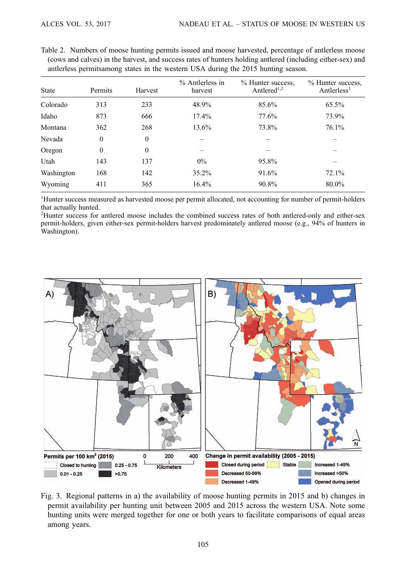|              |              |          | $%$ Antlerless in | % Hunter success,       | % Hunter success,       |
|--------------|--------------|----------|-------------------|-------------------------|-------------------------|
| <b>State</b> | Permits      | Harvest  | harvest           | Antlered <sup>1,2</sup> | Antlerless <sup>1</sup> |
| Colorado     | 313          | 233      | 48.9%             | 85.6%                   | 65.5%                   |
| Idaho        | 873          | 666      | $17.4\%$          | 77.6%                   | 73.9%                   |
| Montana      | 362          | 268      | 13.6%             | 73.8%                   | $76.1\%$                |
| Nevada       | $\theta$     | $\theta$ |                   |                         |                         |
| Oregon       | $\mathbf{0}$ | $\theta$ |                   |                         |                         |
| Utah         | 143          | 137      | $0\%$             | 95.8%                   |                         |
| Washington   | 168          | 142      | $35.2\%$          | 91.6%                   | 72.1%                   |
| Wyoming      | 411          | 365      | 16.4%             | 90.8%                   | 80.0%                   |

<span id="page-6-0"></span>Table 2. Numbers of moose hunting permits issued and moose harvested, percentage of antlerless moose (cows and calves) in the harvest, and success rates of hunters holding antlered (including either-sex) and antlerless permitsamong states in the western USA during the 2015 hunting season.

<sup>1</sup>Hunter success measured as harvested moose per permit allocated, not accounting for number of permit-holders that actually hunted.

2 Hunter success for antlered moose includes the combined success rates of both antlered-only and either-sex permit-holders, given either-sex permit-holders harvest predominately antlered moose (e.g., 94% of hunters in Washington).



Fig. 3. Regional patterns in a) the availability of moose hunting permits in 2015 and b) changes in permit availability per hunting unit between 2005 and 2015 across the western USA. Note some hunting units were merged together for one or both years to facilitate comparisons of equal areas among years.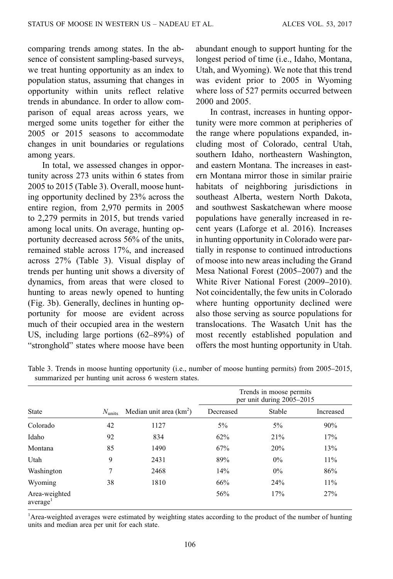comparing trends among states. In the absence of consistent sampling-based surveys, we treat hunting opportunity as an index to population status, assuming that changes in opportunity within units reflect relative trends in abundance. In order to allow comparison of equal areas across years, we merged some units together for either the 2005 or 2015 seasons to accommodate changes in unit boundaries or regulations among years.

In total, we assessed changes in opportunity across 273 units within 6 states from 2005 to 2015 (Table 3). Overall, moose hunting opportunity declined by 23% across the entire region, from 2,970 permits in 2005 to 2,279 permits in 2015, but trends varied among local units. On average, hunting opportunity decreased across 56% of the units, remained stable across 17%, and increased across 27% (Table 3). Visual display of trends per hunting unit shows a diversity of dynamics, from areas that were closed to hunting to areas newly opened to hunting [\(Fig. 3b\)](#page-6-0). Generally, declines in hunting opportunity for moose are evident across much of their occupied area in the western US, including large portions (62–89%) of "stronghold" states where moose have been

abundant enough to support hunting for the longest period of time (i.e., Idaho, Montana, Utah, and Wyoming). We note that this trend was evident prior to 2005 in Wyoming where loss of 527 permits occurred between 2000 and 2005.

In contrast, increases in hunting opportunity were more common at peripheries of the range where populations expanded, including most of Colorado, central Utah, southern Idaho, northeastern Washington, and eastern Montana. The increases in eastern Montana mirror those in similar prairie habitats of neighboring jurisdictions in southeast Alberta, western North Dakota, and southwest Saskatchewan where moose populations have generally increased in recent years ([Laforge et al. 2016\)](#page-11-0). Increases in hunting opportunity in Colorado were partially in response to continued introductions of moose into new areas including the Grand Mesa National Forest (2005–2007) and the [White River National Forest \(2009](#page-13-0)–2010). Not coincidentally, the few units in Colorado where hunting opportunity declined were also those serving as source populations for translocations. The Wasatch Unit has the most recently established population and offers the most hunting opportunity in Utah.

|                                       |                 |                           |           | Trends in moose permits<br>per unit during 2005-2015 |           |
|---------------------------------------|-----------------|---------------------------|-----------|------------------------------------------------------|-----------|
| <b>State</b>                          | $N_{\rm units}$ | Median unit area $(km^2)$ | Decreased | Stable                                               | Increased |
| Colorado                              | 42              | 1127                      | $5\%$     | $5\%$                                                | 90%       |
| Idaho                                 | 92              | 834                       | 62%       | 21%                                                  | 17%       |
| Montana                               | 85              | 1490                      | 67%       | 20%                                                  | 13%       |
| Utah                                  | 9               | 2431                      | 89%       | $0\%$                                                | $11\%$    |
| Washington                            | 7               | 2468                      | 14%       | $0\%$                                                | 86%       |
| Wyoming                               | 38              | 1810                      | 66%       | 24%                                                  | $11\%$    |
| Area-weighted<br>average <sup>1</sup> |                 |                           | 56%       | 17%                                                  | 27%       |

Table 3. Trends in moose hunting opportunity (i.e., number of moose hunting permits) from 2005–2015, summarized per hunting unit across 6 western states.

<sup>1</sup>Area-weighted averages were estimated by weighting states according to the product of the number of hunting units and median area per unit for each state.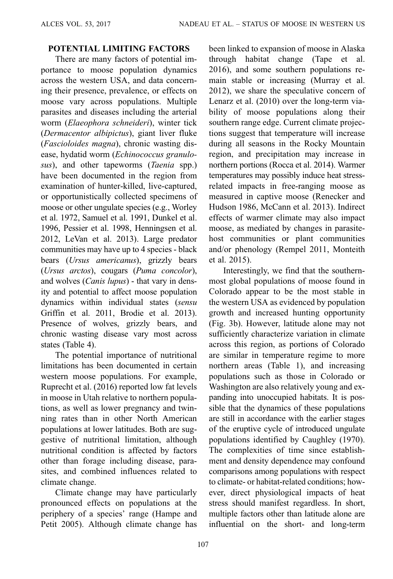# POTENTIAL LIMITING FACTORS

There are many factors of potential importance to moose population dynamics across the western USA, and data concerning their presence, prevalence, or effects on moose vary across populations. Multiple parasites and diseases including the arterial worm (Elaeophora schneideri), winter tick (Dermacentor albipictus), giant liver fluke (Fascioloides magna), chronic wasting disease, hydatid worm (Echinococcus granulosus), and other tapeworms (*Taenia* spp.) have been documented in the region from examination of hunter-killed, live-captured, or opportunistically collected specimens of moose or other ungulate species (e.g., [Worley](#page-13-0) [et al. 1972](#page-13-0), [Samuel et al. 1991,](#page-13-0) [Dunkel et al.](#page-11-0) [1996,](#page-11-0) [Pessier et al. 1998](#page-12-0), [Henningsen et al.](#page-11-0) [2012,](#page-11-0) [LeVan et al. 2013\)](#page-12-0). Large predator communities may have up to 4 species - black bears (Ursus americanus), grizzly bears (Ursus arctos), cougars (Puma concolor), and wolves (Canis lupus) - that vary in density and potential to affect moose population dynamics within individual states (sensu [Griffin et al. 2011,](#page-11-0) [Brodie et al. 2013\)](#page-10-0). Presence of wolves, grizzly bears, and chronic wasting disease vary most across states ([Table 4\)](#page-9-0).

The potential importance of nutritional limitations has been documented in certain western moose populations. For example, [Ruprecht et al. \(2016\)](#page-13-0) reported low fat levels in moose in Utah relative to northern populations, as well as lower pregnancy and twinning rates than in other North American populations at lower latitudes. Both are suggestive of nutritional limitation, although nutritional condition is affected by factors other than forage including disease, parasites, and combined influences related to climate change.

Climate change may have particularly pronounced effects on populations at the periphery of a species' range ([Hampe and](#page-11-0) [Petit 2005](#page-11-0)). Although climate change has been linked to expansion of moose in Alaska through habitat change [\(Tape et al.](#page-13-0) [2016\)](#page-13-0), and some southern populations remain stable or increasing ([Murray et al.](#page-12-0) [2012\)](#page-12-0), we share the speculative concern of [Lenarz et al. \(2010\)](#page-12-0) over the long-term viability of moose populations along their southern range edge. Current climate projections suggest that temperature will increase during all seasons in the Rocky Mountain region, and precipitation may increase in northern portions ([Rocca et al. 2014\)](#page-12-0). Warmer temperatures may possibly induce heat stressrelated impacts in free-ranging moose as measured in captive moose ([Renecker and](#page-12-0) [Hudson 1986, McCann et al. 2013](#page-12-0)). Indirect effects of warmer climate may also impact moose, as mediated by changes in parasitehost communities or plant communities and/or phenology ([Rempel 2011](#page-12-0), [Monteith](#page-12-0) [et al. 2015\)](#page-12-0).

Interestingly, we find that the southernmost global populations of moose found in Colorado appear to be the most stable in the western USA as evidenced by population growth and increased hunting opportunity [\(Fig. 3b\)](#page-6-0). However, latitude alone may not sufficiently characterize variation in climate across this region, as portions of Colorado are similar in temperature regime to more northern areas ([Table 1\)](#page-2-0), and increasing populations such as those in Colorado or Washington are also relatively young and expanding into unoccupied habitats. It is pos‐ sible that the dynamics of these populations are still in accordance with the earlier stages of the eruptive cycle of introduced ungulate populations identified by [Caughley \(1970\).](#page-11-0) The complexities of time since establishment and density dependence may confound comparisons among populations with respect to climate- or habitat-related conditions; however, direct physiological impacts of heat stress should manifest regardless. In short, multiple factors other than latitude alone are influential on the short- and long-term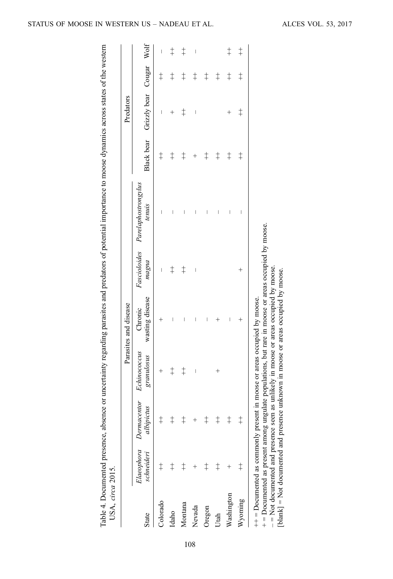| Black bear Grizzly bear Cougar Wolf<br>$\ddagger$<br>$\ddagger$<br>$\begin{array}{c} \end{array}$<br>$^{+}$<br>$^+$<br>$\ddagger$<br>$\ddagger$<br>$\ddagger$<br>$\ddagger$<br>$\ddagger$<br>$\ddagger$<br>$\ddagger$<br>Fascioloides Parelaphostrongylus<br>tenuis<br>I<br>$\begin{array}{c} \end{array}$<br>I<br>$+$ = Documented as present among ungulate populations, but rare in moose or areas occupied by moose.<br>pugpu<br>$-$ Not documented and presence seen as unlikely in moose or areas occupied by moose.<br>$\ddagger$<br>$\ddagger$<br>I<br>$^{+}$<br>$\mid$<br>wasting disease<br>$++$ = Documented as commonly present in moose or areas occupied by moose.<br>Chronic<br>I<br>$^+$<br>I<br>$\hspace{0.1mm} +$<br>I<br>$^{+}$<br>Echinococcus<br>granulosus<br>$\ddagger$<br>$\ddagger$<br>$\begin{array}{c} \end{array}$<br>$^+$<br>$^{+}$<br>Elaeophora Dermacentor<br>albipictus<br>$\ddagger$<br>schneideri<br>$\ddagger$<br>Washington<br>Wyoming<br>Colorado<br>Montana<br>Nevada<br>Oregon<br>Idaho<br>Utah |       |  | Parasites and disease |  | Predators |            |            |
|-----------------------------------------------------------------------------------------------------------------------------------------------------------------------------------------------------------------------------------------------------------------------------------------------------------------------------------------------------------------------------------------------------------------------------------------------------------------------------------------------------------------------------------------------------------------------------------------------------------------------------------------------------------------------------------------------------------------------------------------------------------------------------------------------------------------------------------------------------------------------------------------------------------------------------------------------------------------------------------------------------------------------------------------|-------|--|-----------------------|--|-----------|------------|------------|
|                                                                                                                                                                                                                                                                                                                                                                                                                                                                                                                                                                                                                                                                                                                                                                                                                                                                                                                                                                                                                                         | State |  |                       |  |           |            |            |
|                                                                                                                                                                                                                                                                                                                                                                                                                                                                                                                                                                                                                                                                                                                                                                                                                                                                                                                                                                                                                                         |       |  |                       |  |           | $\ddagger$ | I          |
|                                                                                                                                                                                                                                                                                                                                                                                                                                                                                                                                                                                                                                                                                                                                                                                                                                                                                                                                                                                                                                         |       |  |                       |  |           | $\ddagger$ | $\ddagger$ |
|                                                                                                                                                                                                                                                                                                                                                                                                                                                                                                                                                                                                                                                                                                                                                                                                                                                                                                                                                                                                                                         |       |  |                       |  |           | $\ddagger$ | $\ddagger$ |
|                                                                                                                                                                                                                                                                                                                                                                                                                                                                                                                                                                                                                                                                                                                                                                                                                                                                                                                                                                                                                                         |       |  |                       |  |           | $\ddagger$ |            |
|                                                                                                                                                                                                                                                                                                                                                                                                                                                                                                                                                                                                                                                                                                                                                                                                                                                                                                                                                                                                                                         |       |  |                       |  |           | $\ddagger$ |            |
|                                                                                                                                                                                                                                                                                                                                                                                                                                                                                                                                                                                                                                                                                                                                                                                                                                                                                                                                                                                                                                         |       |  |                       |  |           | $\ddagger$ |            |
|                                                                                                                                                                                                                                                                                                                                                                                                                                                                                                                                                                                                                                                                                                                                                                                                                                                                                                                                                                                                                                         |       |  |                       |  |           | $\ddagger$ | $\ddagger$ |
|                                                                                                                                                                                                                                                                                                                                                                                                                                                                                                                                                                                                                                                                                                                                                                                                                                                                                                                                                                                                                                         |       |  |                       |  |           | $\ddagger$ | $\dagger$  |
|                                                                                                                                                                                                                                                                                                                                                                                                                                                                                                                                                                                                                                                                                                                                                                                                                                                                                                                                                                                                                                         |       |  |                       |  |           |            |            |
| [blank] = Not documented and presence unknown in moose or areas occupied by moose.                                                                                                                                                                                                                                                                                                                                                                                                                                                                                                                                                                                                                                                                                                                                                                                                                                                                                                                                                      |       |  |                       |  |           |            |            |

<span id="page-9-0"></span>STATUS OF MOOSE IN WESTERN US - NADEAU ET AL. ALCES VOL. 53, 2017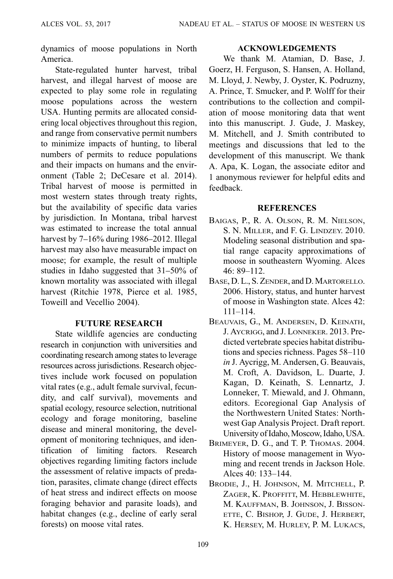<span id="page-10-0"></span>dynamics of moose populations in North America.

State-regulated hunter harvest, tribal harvest, and illegal harvest of moose are expected to play some role in regulating moose populations across the western USA. Hunting permits are allocated considering local objectives throughout this region, and range from conservative permit numbers to minimize impacts of hunting, to liberal numbers of permits to reduce populations and their impacts on humans and the environment ([Table 2](#page-6-0); [DeCesare et al. 2014\)](#page-11-0). Tribal harvest of moose is permitted in most western states through treaty rights, but the availability of specific data varies by jurisdiction. In Montana, tribal harvest was estimated to increase the total annual harvest by 7–16% during 1986–2012. Illegal harvest may also have measurable impact on moose; for example, the result of multiple studies in Idaho suggested that 31–50% of known mortality was associated with illegal harvest ([Ritchie 1978, Pierce et al. 1985](#page-12-0), [Toweill and Vecellio 2004](#page-13-0)).

# FUTURE RESEARCH

State wildlife agencies are conducting research in conjunction with universities and coordinating research among states to leverage resources across jurisdictions. Research objec‐ tives include work focused on population vital rates (e.g., adult female survival, fecun‐ dity, and calf survival), movements and spatial ecology, resource selection, nutritional ecology and forage monitoring, baseline disease and mineral monitoring, the development of monitoring techniques, and identification of limiting factors. Research objectives regarding limiting factors include the assessment of relative impacts of predation, parasites, climate change (direct effects of heat stress and indirect effects on moose foraging behavior and parasite loads), and habitat changes (e.g., decline of early seral forests) on moose vital rates.

### ACKNOWLEDGEMENTS

We thank M. Atamian, D. Base, J. Goerz, H. Ferguson, S. Hansen, A. Holland, M. Lloyd, J. Newby, J. Oyster, K. Podruzny, A. Prince, T. Smucker, and P. Wolff for their contributions to the collection and compilation of moose monitoring data that went into this manuscript. J. Gude, J. Maskey, M. Mitchell, and J. Smith contributed to meetings and discussions that led to the development of this manuscript. We thank A. Apa, K. Logan, the associate editor and 1 anonymous reviewer for helpful edits and feedback.

### **REFERENCES**

- BAIGAS, P., R. A. OLSON, R. M. NIELSON, S. N. MILLER, and F. G. LINDZEY. 2010. Modeling seasonal distribution and spatial range capacity approximations of moose in southeastern Wyoming. Alces 46: 89–112.
- BASE, D. L., S. ZENDER, and D. MARTORELLO. 2006. History, status, and hunter harvest of moose in Washington state. Alces 42: 111–114.
- BEAUVAIS, G., M. ANDERSEN, D. KEINATH, J. AYCRIGG, and J. LONNEKER. 2013. Predicted vertebrate species habitat distributions and species richness. Pages 58–110 in J. Aycrigg, M. Andersen, G. Beauvais, M. Croft, A. Davidson, L. Duarte, J. Kagan, D. Keinath, S. Lennartz, J. Lonneker, T. Miewald, and J. Ohmann, editors. Ecoregional Gap Analysis of the Northwestern United States: Northwest Gap Analysis Project. Draft report. University of Idaho, Moscow, Idaho, USA.
- BRIMEYER, D. G., and T. P. THOMAS. 2004. History of moose management in Wyoming and recent trends in Jackson Hole. Alces 40: 133–144.
- BRODIE, J., H. JOHNSON, M. MITCHELL, P. ZAGER, K. PROFFITT, M. HEBBLEWHITE, M. KAUFFMAN, B. JOHNSON, J. BISSON-ETTE, C. BISHOP, J. GUDE, J. HERBERT, K. HERSEY, M. HURLEY, P. M. LUKACS,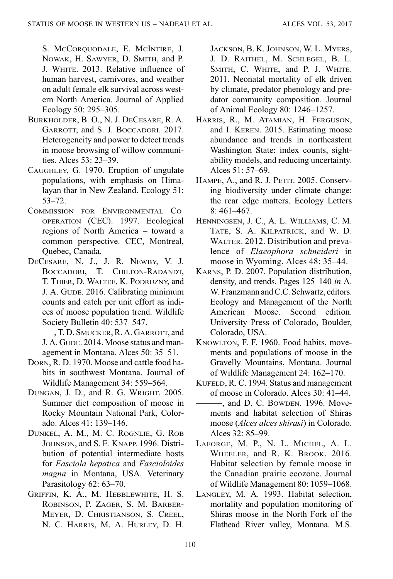<span id="page-11-0"></span>S. MCCORQUODALE, E. MCINTIRE, J. NOWAK, H. SAWYER, D. SMITH, and P. J. WHITE. 2013. Relative influence of human harvest, carnivores, and weather on adult female elk survival across western North America. Journal of Applied Ecology 50: 295–305.

- BURKHOLDER, B. O., N. J. DECESARE, R. A. GARROTT, and S. J. BOCCADORI. 2017. Heterogeneity and power to detect trends in moose browsing of willow communities. Alces 53: 23–39.
- CAUGHLEY, G. 1970. Eruption of ungulate populations, with emphasis on Himalayan thar in New Zealand. Ecology 51: 53–72.
- COMMISSION FOR ENVIRONMENTAL CO-OPERATION (CEC). 1997. Ecological regions of North America – toward a common perspective. CEC, Montreal, Quebec, Canada.
- DECESARE, N. J., J. R. NEWBY, V. J. BOCCADORI, T. CHILTON-RADANDT, T. THIER, D. WALTEE, K. PODRUZNY, and J. A. GUDE. 2016. Calibrating minimum counts and catch per unit effort as indices of moose population trend. Wildlife Society Bulletin 40: 537–547.
	- ———, T. D. SMUCKER, R. A. GARROTT, and J. A. GUDE. 2014. Moose status and management in Montana. Alces 50: 35–51.
- DORN, R. D. 1970. Moose and cattle food habits in southwest Montana. Journal of Wildlife Management 34: 559–564.
- DUNGAN, J. D., and R. G. WRIGHT. 2005. Summer diet composition of moose in Rocky Mountain National Park, Colorado. Alces 41: 139–146.
- DUNKEL, A. M., M. C. ROGNLIE, G. ROB JOHNSON, and S. E. KNAPP. 1996. Distribution of potential intermediate hosts for Fasciola hepatica and Fascioloides magna in Montana, USA. Veterinary Parasitology 62: 63–70.
- GRIFFIN, K. A., M. HEBBLEWHITE, H. S. ROBINSON, P. ZAGER, S. M. BARBER-MEYER, D. CHRISTIANSON, S. CREEL, N. C. HARRIS, M. A. HURLEY, D. H.

JACKSON, B. K. JOHNSON, W. L. MYERS, J. D. RAITHEL, M. SCHLEGEL, B. L. SMITH, C. WHITE, and P. J. WHITE. 2011. Neonatal mortality of elk driven by climate, predator phenology and predator community composition. Journal of Animal Ecology 80: 1246–1257.

- HARRIS, R., M. ATAMIAN, H. FERGUSON, and I. KEREN. 2015. Estimating moose abundance and trends in northeastern Washington State: index counts, sightability models, and reducing uncertainty. Alces 51: 57–69.
- HAMPE, A., and R. J. PETIT. 2005. Conserving biodiversity under climate change: the rear edge matters. Ecology Letters 8: 461–467.
- HENNINGSEN, J. C., A. L. WILLIAMS, C. M. TATE, S. A. KILPATRICK, and W. D. WALTER. 2012. Distribution and prevalence of Elaeophora schneideri in moose in Wyoming. Alces 48: 35–44.
- KARNS, P. D. 2007. Population distribution, density, and trends. Pages 125–140 in A. W. Franzmann and C.C. Schwartz, editors. Ecology and Management of the North American Moose. Second edition. University Press of Colorado, Boulder, Colorado, USA.
- KNOWLTON, F. F. 1960. Food habits, movements and populations of moose in the Gravelly Mountains, Montana. Journal of Wildlife Management 24: 162–170.
- KUFELD, R. C. 1994. Status and management of moose in Colorado. Alces 30: 41–44.
- $-$ , and D. C. BOWDEN. 1996. Movements and habitat selection of Shiras moose (Alces alces shirasi) in Colorado. Alces 32: 85–99.
- LAFORGE, M. P., N. L. MICHEL, A. L. WHEELER, and R. K. BROOK. 2016. Habitat selection by female moose in the Canadian prairie ecozone. Journal of Wildlife Management 80: 1059–1068.
- LANGLEY, M. A. 1993. Habitat selection, mortality and population monitoring of Shiras moose in the North Fork of the Flathead River valley, Montana. M.S.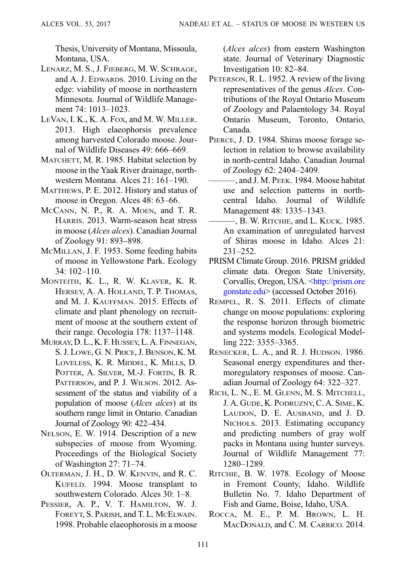<span id="page-12-0"></span>Thesis, University of Montana, Missoula, Montana, USA.

- LENARZ, M. S., J. FIEBERG, M. W. SCHRAGE, and A. J. EDWARDS. 2010. Living on the edge: viability of moose in northeastern Minnesota. Journal of Wildlife Management 74: 1013-1023.
- LEVAN, I. K., K. A. FOX, and M. W. MILLER. 2013. High elaeophorsis prevalence among harvested Colorado moose. Journal of Wildlife Diseases 49: 666–669.
- MATCHETT, M. R. 1985. Habitat selection by moose in the Yaak River drainage, northwestern Montana. Alces 21: 161–190.
- MATTHEWS, P. E. 2012. History and status of moose in Oregon. Alces 48: 63–66.
- MCCANN, N. P., R. A. MOEN, and T. R. HARRIS. 2013. Warm-season heat stress in moose (Alces alces). Canadian Journal of Zoology 91: 893–898.
- MCMILLAN, J. F. 1953. Some feeding habits of moose in Yellowstone Park. Ecology 34: 102–110.
- MONTEITH, K. L., R. W. KLAVER, K. R. HERSEY, A. A. HOLLAND, T. P. THOMAS, and M. J. KAUFFMAN. 2015. Effects of climate and plant phenology on recruitment of moose at the southern extent of their range. Oecologia 178: 1137–1148.
- MURRAY, D. L., K. F. HUSSEY, L. A. FINNEGAN, S. J. LOWE, G. N. PRICE, J. BENSON, K. M. LOVELESS, K. R. MIDDEL, K. MILLS, D. POTTER, A. SILVER, M.-J. FORTIN, B. R. PATTERSON, and P. J. WILSON, 2012. Assessment of the status and viability of a population of moose (Alces alces) at its southern range limit in Ontario. Canadian Journal of Zoology 90: 422–434.
- NELSON, E. W. 1914. Description of a new subspecies of moose from Wyoming. Proceedings of the Biological Society of Washington 27: 71–74.
- OLTERMAN, J. H., D. W. KENVIN, and R. C. KUFELD. 1994. Moose transplant to southwestern Colorado. Alces 30: 1–8.
- PESSIER, A. P., V. T. HAMILTON, W. J. FOREYT, S. PARISH, and T. L. MCELWAIN. 1998. Probable elaeophorosis in a moose

(Alces alces) from eastern Washington state. Journal of Veterinary Diagnostic Investigation 10: 82–84.

- PETERSON, R. L. 1952. A review of the living representatives of the genus Alces. Contributions of the Royal Ontario Museum of Zoology and Palaentology 34. Royal Ontario Museum, Toronto, Ontario, Canada.
- PIERCE, J. D. 1984. Shiras moose forage selection in relation to browse availability in north-central Idaho. Canadian Journal of Zoology 62: 2404–2409.
- ———, and J. M. PEEK. 1984. Moose habitat use and selection patterns in northcentral Idaho. Journal of Wildlife Management 48: 1335–1343.
- -, B. W. RITCHIE, and L. KUCK. 1985. An examination of unregulated harvest of Shiras moose in Idaho. Alces 21: 231–252.
- PRISM Climate Group. 2016. PRISM gridded climate data. Oregon State University, Corvallis, Oregon, USA. [<http://prism.ore](http://prism.oregonstate.edu) [gonstate.edu](http://prism.oregonstate.edu)> (accessed October 2016).
- REMPEL, R. S. 2011. Effects of climate change on moose populations: exploring the response horizon through biometric and systems models. Ecological Modelling 222: 3355–3365.
- RENECKER, L. A., and R. J. HUDSON. 1986. Seasonal energy expenditures and thermoregulatory responses of moose. Canadian Journal of Zoology 64: 322–327.
- RICH, L. N., E. M. GLENN, M. S. MITCHELL, J. A. GUDE, K. PODRUZNY, C. A. SIME, K. LAUDON, D. E. AUSBAND, and J. D. NICHOLS. 2013. Estimating occupancy and predicting numbers of gray wolf packs in Montana using hunter surveys. Journal of Wildlife Management 77: 1280–1289.
- RITCHIE, B. W. 1978. Ecology of Moose in Fremont County, Idaho. Wildlife Bulletin No. 7. Idaho Department of Fish and Game, Boise, Idaho, USA.
- ROCCA, M. E., P. M. BROWN, L. H. MACDONALD, and C. M. CARRICO. 2014.